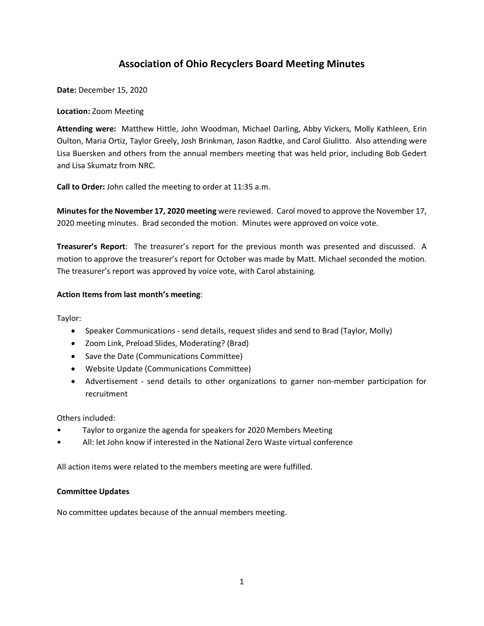# **Association of Ohio Recyclers Board Meeting Minutes**

**Date:** December 15, 2020

### **Location:** Zoom Meeting

**Attending were:** Matthew Hittle, John Woodman, Michael Darling, Abby Vickers, Molly Kathleen, Erin Oulton, Maria Ortiz, Taylor Greely, Josh Brinkman, Jason Radtke, and Carol Giulitto. Also attending were Lisa Buersken and others from the annual members meeting that was held prior, including Bob Gedert and Lisa Skumatz from NRC.

**Call to Order:** John called the meeting to order at 11:35 a.m.

**Minutes for the November 17, 2020 meeting** were reviewed. Carol moved to approve the November 17, 2020 meeting minutes. Brad seconded the motion. Minutes were approved on voice vote.

**Treasurer's Report**: The treasurer's report for the previous month was presented and discussed. A motion to approve the treasurer's report for October was made by Matt. Michael seconded the motion. The treasurer's report was approved by voice vote, with Carol abstaining.

## **Action Items from last month's meeting**:

Taylor:

- Speaker Communications send details, request slides and send to Brad (Taylor, Molly)
- Zoom Link, Preload Slides, Moderating? (Brad)
- Save the Date (Communications Committee)
- Website Update (Communications Committee)
- Advertisement send details to other organizations to garner non-member participation for recruitment

Others included:

- Taylor to organize the agenda for speakers for 2020 Members Meeting
- All: let John know if interested in the National Zero Waste virtual conference

All action items were related to the members meeting are were fulfilled.

## **Committee Updates**

No committee updates because of the annual members meeting.